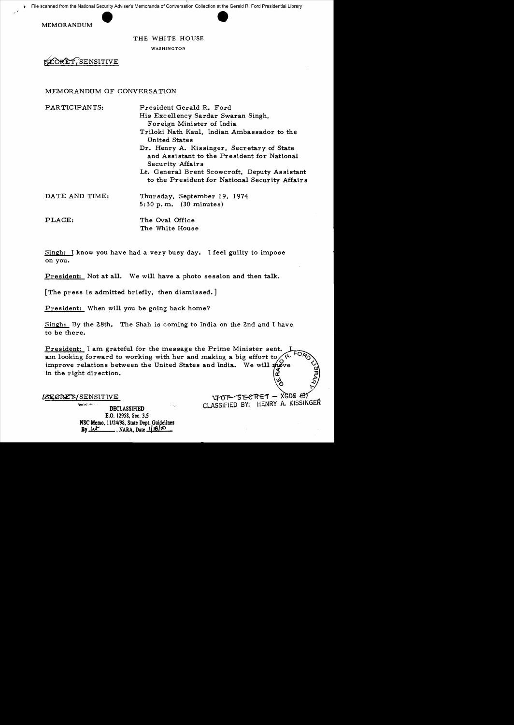



### THE WHITE HOUSE

WASHINGTON

`SENSITIVE

### MEMORANDUM OF CONVERSA TION

| PARTICIPANTS:  | President Gerald R. Ford                                                                                      |
|----------------|---------------------------------------------------------------------------------------------------------------|
|                | His Excellency Sardar Swaran Singh,                                                                           |
|                | Foreign Minister of India                                                                                     |
|                | Triloki Nath Kaul, Indian Ambassador to the<br><b>United States</b>                                           |
|                | Dr. Henry A. Kissinger, Secretary of State<br>and Assistant to the President for National<br>Security Affairs |
|                | Lt. General Brent Scowcroft, Deputy Assistant<br>to the President for National Security Affairs               |
| DATE AND TIME: | Thursday, September 19, 1974<br>5:30 p.m. $(30 \text{ minutes})$                                              |
| PLACE:         | The Oval Office<br>The White House                                                                            |

Singh: 1 know you have had a very busy day. 1 feel guilty to impose on you.

President: Not at all. We will have a photo session and then talk.

[The press is admitted briefly, then dismissed. ]

President: When will you be going back home?

Singh: By the 28th. The Shah is coming to India on the 2nd and 1 have to be there.

President: I am grateful for the message the Prime Minister sent. am looking forward to working with her and making a big effort to improve relations between the United States and India. We will  $\boldsymbol{\hat{m}}$  ve in the right direction. č

LSECRET/SENSITIVE

**Seatle Council** DECLASSIFIED E.O. 12958, Sec. *3.S* NSC Memo,  $11/24/98$ , State Dept. Guidelines<br>By  $\overline{\mathcal{U}}$ , NARA, Date  $11/8/\infty$ **IL PROVIDED**, NARA, Date 118100

SECRET - XGDS (3)  $\Upsilon$ CLASSIFIED BY: HENRY A. KISSINGER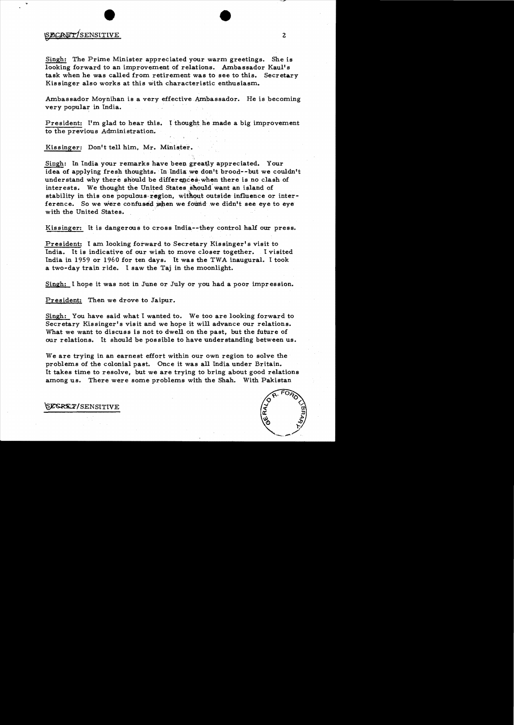## SECRET/SENSITIVE 2

Singh: The Prime Minister appreciated your warm greetings. She is looking forward to an improvement of relations. Ambassador Kaul's task when he was called from retirement was to see to this. Secretary Kissinger also works at this with characteristic enthusiasm.

Ambassador Moynihan is a very effective Ambassador. He is becoming very popular in India.

President: I'm glad to hear this. I thought he made a big improvement to the previous Administration.

Kissinger: Don't tell him. Mr. Minister.

Singh: In India your remarks have been greatly appreciated. Your idea of applying fresh thoughts. In India we don't brood--but we couldn't understand why there should be differences. when there is no clash of interests. We thought the United States should want an island of stability in this one populous region, without outside influence or interference. So we were confused when we found we didn't see eye to eye with the United States.

Kissinger: It is dangerous to cross India--they control half our press.

President: I am looking forward to Secretary Kissinger's visit to India. It is indicative of our wish to move closer together. I visited Ihdia in 1959 or 1960 for ten days. It was the TWA inaugural. I took a two-day train ride. I saw the Taj in the moonlight.

Singh: I hope it was not in June or July or you had a poor impression.

President: Then we drove to Jaipur.

Singh: You have said what I wanted to. We too are looking forward to Secretary Kissinger's visit and we hope it will advance our relations. What we want to discuss is not to dwell on the past, but the future of our relations. It should be possible to have understanding between us.

We are trying in an earnest effort within our own region to solve the problems of the colonial past. Once it was all India under Britain. It takes time to resolve, but we are trying to bring about good relations among us. There were some problems with the Shah. With Pakistan



SESRET/SENSITIVE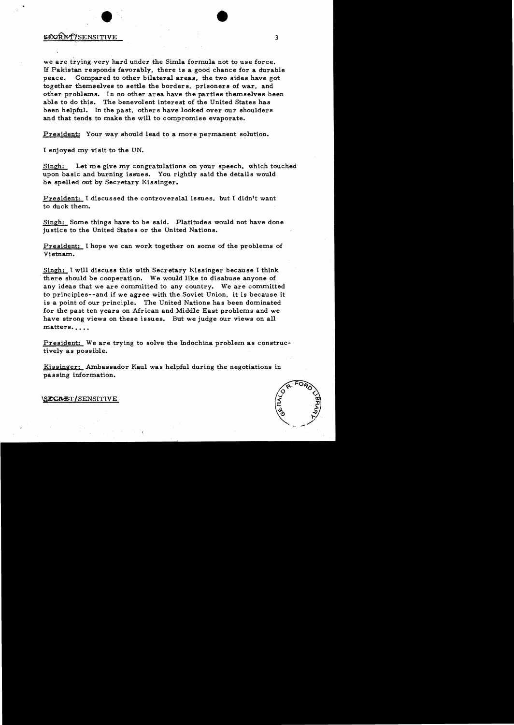### SECRETYSENSITIVE 3

,

we are trying very hard under the Simla formula not to use force. If Pakistan responds favorably, there is a good chance for a durable peace. Compared to other bilateral areas, the two sides have got together themselves to settle the borders, prisoners of war, and other problems. In no other area have the parties themselves been able to do this. The benevolent interest of the United States has been helpful. In the past, others have looked over our shoulders and that tends to make the will to compromise evaporate.

President: Your way should lead to a more permanent solution.

I enjoyed my visit to the UN.

Singh: Let me give my congratulations on your speech, which touched upon basic and burning issues. You rightly said the details would be spelled out by Secretary Kissinger.

President: I discussed the controversial issues, but I didn't want to duck them.

Singh: Some things have to be said. Platitudes would not have done justice to the United States or the United Nations.

President: I hope we can work together on some of the problems of Vietnam.

Singh: I will discuss this with Secretary Kissinger because I think . there should be cooperation. We would like to disabuse anyone of any ideas that we are committed to any country. We are committed to principles--and if we agree with the Soviet Union, it is because it is a point of our principle. The United Nations has been dominated for the past ten years on African and Middle East problems and we have strong views on these issues. But we judge our views on all matters....

President: We are trying to solve the Indochina problem as constructively as possible.

Kissinger: Ambassador Kaul was helpful during the negotiations in passing information.



\S**E\CA:E**\T / SENSITIVE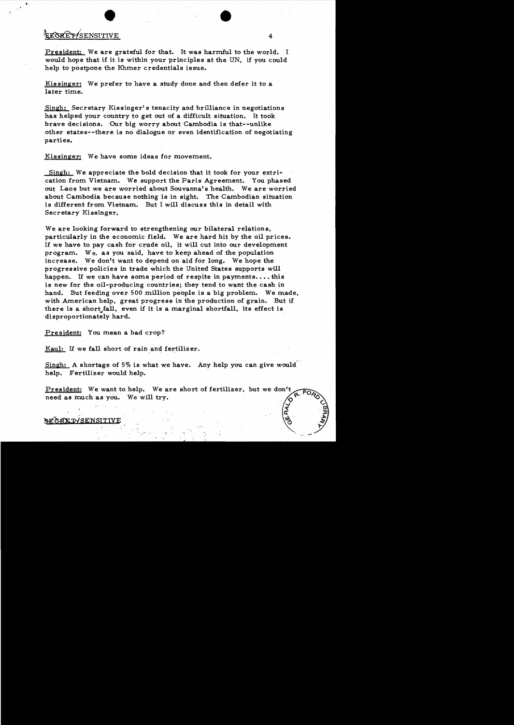# ENSTREPT OF THE STREET OF THE STREET OF THE STREET OF THE STREET OF THE STREET OF THE STREET OF THE STREET OF THE STREET OF THE STREET OF THE STREET OF THE STREET OF THE STREET OF THE STREET OF THE STREET OF THE STREET OF

President: We are grateful for that. It was harmful to the world. I would hope that if it is within your principles at the UN, if you could help to postpone the Khmer credentials issue.

Kissinger: We prefer to have a study done and then defer it to a later time.

Singh: Secretary Kissinger's tenacity and brilliance in negotiations has helped your country to get out of a difficult situation. It took brave decisions. Our big worry about Cambodia is that--unlike other states--there is no dialogue or even identification of negotiating parties.

Kissinger: We have some ideas for movement.

Singh: We appreciate the bold decision that it took for your extrication from Vietnam. We support the Paris Agreement. You phased out Laos but we are worried about Souvanna's health. We are worried about Cambodia because nothing is in sight. The Cambodian situation is different from Vietnam. But I will discuss this in detail with Secretary Kissinger.

We are looking forward to strengthening our bilateral relations, particularly in the economic field. We are hard hit by the oil prices. If we have to pay cash for crude oil. it will cut into our development program. We, as you said, have to keep ahead of the population increase. We don't want to depend on aid for long. We hope the progressive policies in trade which the United States supports will happen. If we can have some period of respite in payments....this is new for the oil-producing countries; they tend to want the cash in hand. But feeding over 500 million people is a big problem. We made, with American help, great progress in the production of grain. But if there is a short fall, even if it is a marginal shortfall, its effect is disproportionately hard.

President: You mean a bad crop?

 $Kaul:$  If we fall short of rain and fertilizer.</u>

Singh: A shortage of 5% is what we have. Any help you can give would' help. Fertilizer would help.

President: We want to help. We are short of fertilizer, need as much as you. We will try.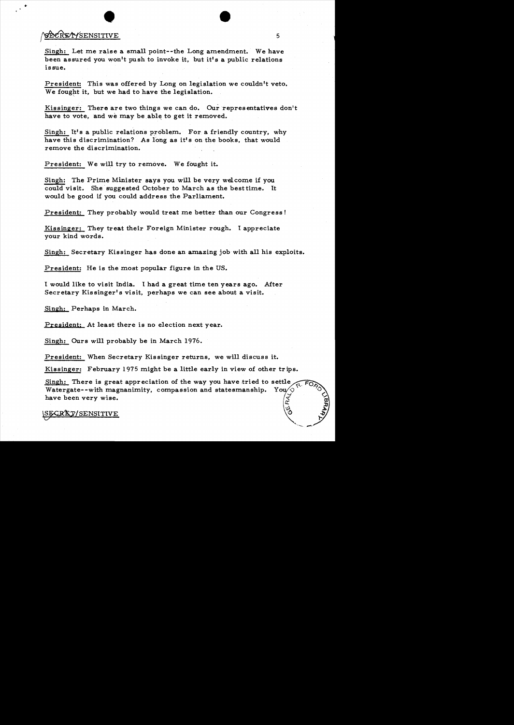## en andere the state of the state of the state of the state of the state of the state of the state of the state of the state of the state of the state of the state of the state of the state of the state of the state of the

Singh: Let me raise a small point--the Long amendment. We have been assured you won't push to invoke it, but it's a public relations issue.

President: This was offered by Long on legislation we couldn't veto. We fought it, but we had to have the legislation. '-

Kissinger: There are two things we can do. Our representatives don't have to vote, and we may be able to get it removed.

Singh: It's a public relations problem. For a friendly country, why have this discrimination? As long as it's on the books, that would remove the discrimination.

President: We will try to remove. We fought it.

Singh: The Prime Minister says you will be very welcome if you could visit. She suggested October to March as the best time. It would be good if you could address the Parliament.

President: They probably would treat me better than our Congress!

Kissinger: They treat their Foreign Minister rough. I appreciate your kind words.

Singh: Secretary Kissinger has done an amazing job with all his exploits.

President: He is the most popular figure in the US.

I would like to visit India. I had a great time ten years ago. After Secretary Kis singer's visit, perhaps we can see about a visit.

Singh: Perhaps in March.

President: At least there is no election next year.

Singh: Ours will probably be in March 1976.

President: When Secretary Kis singer returns, we will discuss it.

Kissinger: February 1975 might be a little early in view of other tr ips.

Singh: There is great appreciation of the way you have tried to settle Watergate--with magnanimity, compassion and statesmanship. You $\sqrt{\circ}$ have been very wise.  $\mathbf{z}$ 

 $\mathbb{R}\mathbb{E}\mathbb{Y}/\mathrm{SENSITIVE}$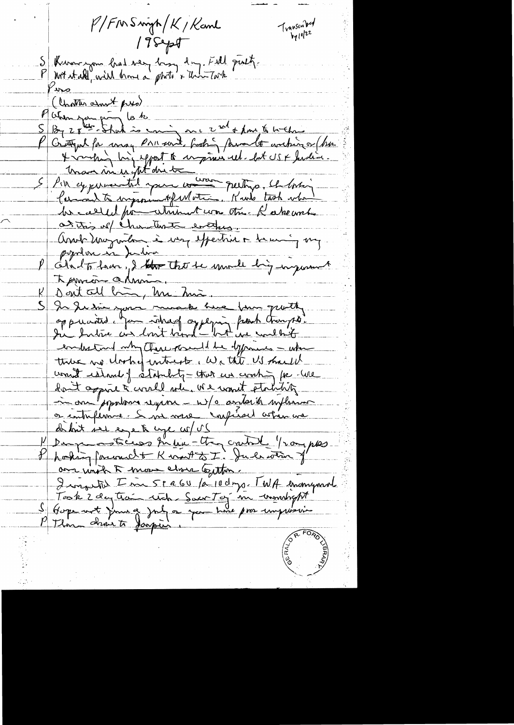P/FMSwigh/K/Kanl  $T_{\text{vanson}}$  $17$ Sept S Kinner for land very long dry. Fill put. Piro ( Unatter amost pres) Putin jou pau je to P Critique for may Primere foot para le continger (bus Maximus fit die transportionnelle he called pour attitud com the. Recke and at this well chanturate everyone Assurant moyentaire à moy expertise à heuring my popolen in Julia Obut Than, I that the mode big ingramment Termin almin Dont all bin, me him. In Justice your much have four quantity. oppuantes you interest appening part transport. embeting mby there prendd be dyponents - when there we clocked intracts, We this US should wount research of a databally - that we working for -we dont appear to correll when we want stability in one populare region - w/a andarity influence or contrificance. Since verse confirmed astron are de but sel ege to lige co/ US Demperatrices fin une they crutal prompter hosking forwardt Korst t: Julian J' any with 5 more close legitor. I was to I in 5 r a 60 /a 10 days. TWA enomymore Took 2 day train with Sacr Tog in wombrept S Gope not june a july a you have pro impréssion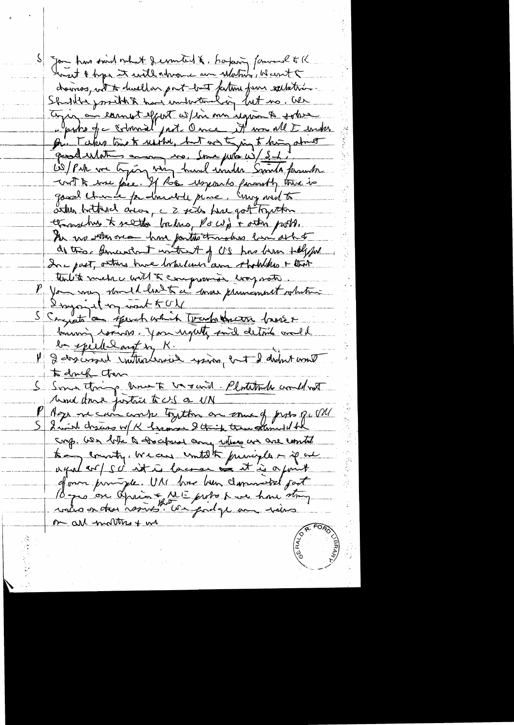Jon has sind not of emeters & bayang fammel to K chairs, with to dwell on point loast feeting from sallation. Shuldte prothet have inductively but no, all Enjoy au comment effect w/in me ignom & sobre pr. Takes time to reached, but we thing to king about grodulation avec ma pris mil 181 with the fire. If the woxcards farantly there is good churce por dimedice piece. Emp with to artien buttagel array, c 2 seits here got tryitten throughous to sell the backers, Po with rather push. An use with one have fartilo throughous line as that do this general with A of US has been talyful In part, others have torbelise and that that that tuit to metre with the compression was work P you may should have to a some primarent whatever Inyonial my want to be S Cryptolan sperch which touch thereon broker bonning comes journality and details and be speed and in K. 1 2 des crossel instructeurs princ, ent 2 didn't wont to douch chan S Some thing how to be raid. Platitude would not und done justice to US a UN P Age me can compe trytten on come of prob pu me S 2 with draws w/ K hamse 2 thing the samuel bk sorp. We take to the copy and when we construct to monty, we are untilthe funciple - if an agalar/sc it is lacence on it is a finit of own principle. U.A. have held commented part By o on Aprior ME probo have how strong rous on the resins" We god ge un viens on all mottres + we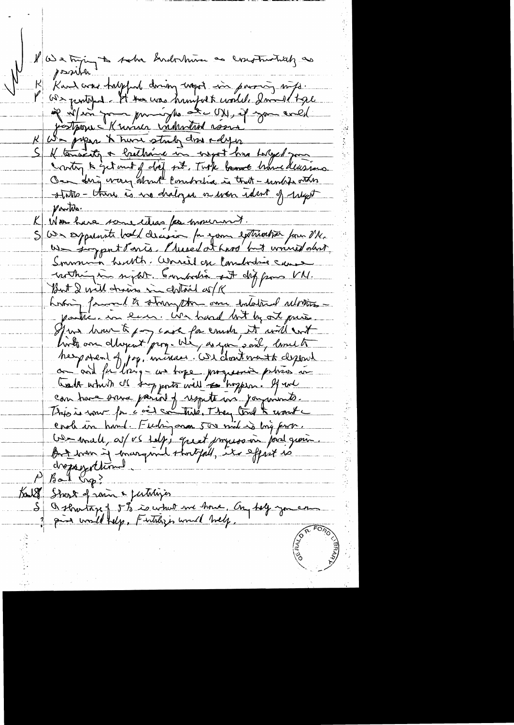We trying to sake Indontrion as constructively as possible Kard are halpful down west in partir mits.  $\mathsf{K}_\mathsf{L}$ We pentited. It to was humped to world, I would trace if in form principles at UN, if you ared justperne Known industrial rosse K We press to have study done adys Il tenants a brethance in insport him holyed gon contry & get met of day pet. Took banne home deusing On drig wary about combidia in that - unhis other states - there is no dralized in when ident of religion portile. Non have some teless for mournot.  $\mathcal{K}_{-}$ S We sepponente board classica for your extremention form Mr. us siggent Parts. Plused at hard but would also Somme hutte Grecil en Commandance cause creatingum support. Commandia est different VN. But I will drains in clothail of K horting famoual to strong the one intolated whomespostic . in law. We hand lost by ort pris. Juin Mout pour laint for email to int and for long - an tape progressive places in ببتين how the which of the posts will to hoppen. If we can have sanc parist y result un jammets.<br>Tris is sour fr e ai son trise, They took woute Co-mall, as/ vs talg; quit jmyssoin prol gionn But when if margand shortfull, its effect is chappeyerchional  $P$  Bal  $\mathfrak{b}_P$ ? Bould Shert of some & futuries Q shortage of 5% is what we have, On help you